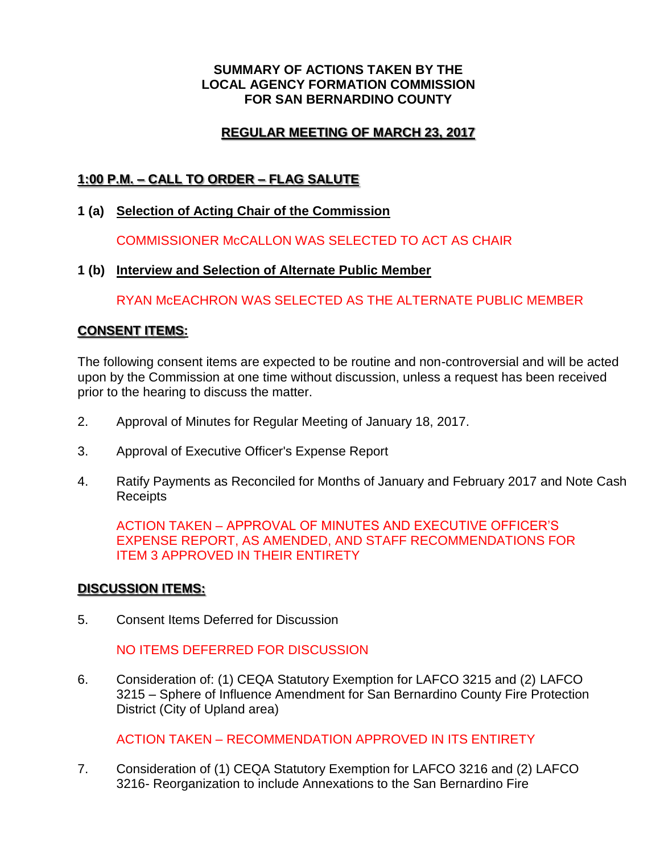#### **SUMMARY OF ACTIONS TAKEN BY THE LOCAL AGENCY FORMATION COMMISSION FOR SAN BERNARDINO COUNTY**

## **REGULAR MEETING OF MARCH 23, 2017**

# **1:00 P.M. – CALL TO ORDER – FLAG SALUTE**

**1 (a) Selection of Acting Chair of the Commission**

COMMISSIONER McCALLON WAS SELECTED TO ACT AS CHAIR

### **1 (b) Interview and Selection of Alternate Public Member**

RYAN McEACHRON WAS SELECTED AS THE ALTERNATE PUBLIC MEMBER

### **CONSENT ITEMS:**

The following consent items are expected to be routine and non-controversial and will be acted upon by the Commission at one time without discussion, unless a request has been received prior to the hearing to discuss the matter.

- 2. Approval of Minutes for Regular Meeting of January 18, 2017.
- 3. Approval of Executive Officer's Expense Report
- 4. Ratify Payments as Reconciled for Months of January and February 2017 and Note Cash Receipts

ACTION TAKEN – APPROVAL OF MINUTES AND EXECUTIVE OFFICER'S EXPENSE REPORT, AS AMENDED, AND STAFF RECOMMENDATIONS FOR ITEM 3 APPROVED IN THEIR ENTIRETY

#### **DISCUSSION ITEMS:**

5. Consent Items Deferred for Discussion

## NO ITEMS DEFERRED FOR DISCUSSION

6. Consideration of: (1) CEQA Statutory Exemption for LAFCO 3215 and (2) LAFCO 3215 – Sphere of Influence Amendment for San Bernardino County Fire Protection District (City of Upland area)

ACTION TAKEN – RECOMMENDATION APPROVED IN ITS ENTIRETY

7. Consideration of (1) CEQA Statutory Exemption for LAFCO 3216 and (2) LAFCO 3216- Reorganization to include Annexations to the San Bernardino Fire